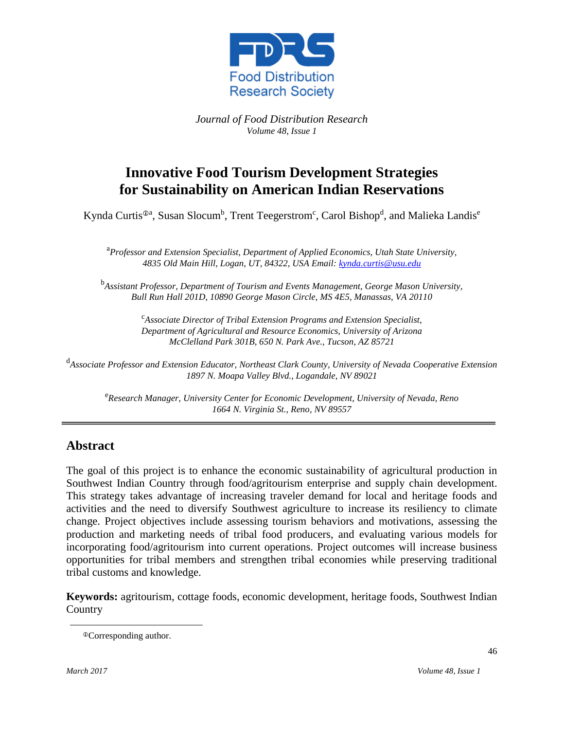

*Journal of Food Distribution Research Volume 48, Issue 1*

## **Innovative Food Tourism Development Strategies for Sustainability on American Indian Reservations**

Kynda Curtis<sup>®a</sup>, Susan Slocum<sup>b</sup>, Trent Teegerstrom<sup>c</sup>, Carol Bishop<sup>d</sup>, and Malieka Landis<sup>e</sup>

a *Professor and Extension Specialist, Department of Applied Economics, Utah State University, 4835 Old Main Hill, Logan, UT, 84322, USA Email: [kynda.curtis@usu.edu](mailto:kynda.curtis@usu.edu)*

b *Assistant Professor, Department of Tourism and Events Management, George Mason University, Bull Run Hall 201D, 10890 George Mason Circle, MS 4E5, Manassas, VA 20110*

> c *Associate Director of Tribal Extension Programs and Extension Specialist, Department of Agricultural and Resource Economics, University of Arizona McClelland Park 301B, 650 N. Park Ave., Tucson, AZ 85721*

d *Associate Professor and Extension Educator, Northeast Clark County, University of Nevada Cooperative Extension 1897 N. Moapa Valley Blvd., Logandale, NV 89021*

e *Research Manager, University Center for Economic Development, University of Nevada, Reno 1664 N. Virginia St., Reno, NV 89557*

#### **Abstract**

The goal of this project is to enhance the economic sustainability of agricultural production in Southwest Indian Country through food/agritourism enterprise and supply chain development. This strategy takes advantage of increasing traveler demand for local and heritage foods and activities and the need to diversify Southwest agriculture to increase its resiliency to climate change. Project objectives include assessing tourism behaviors and motivations, assessing the production and marketing needs of tribal food producers, and evaluating various models for incorporating food/agritourism into current operations. Project outcomes will increase business opportunities for tribal members and strengthen tribal economies while preserving traditional tribal customs and knowledge.

**Keywords:** agritourism, cottage foods, economic development, heritage foods, Southwest Indian **Country** 

Corresponding author.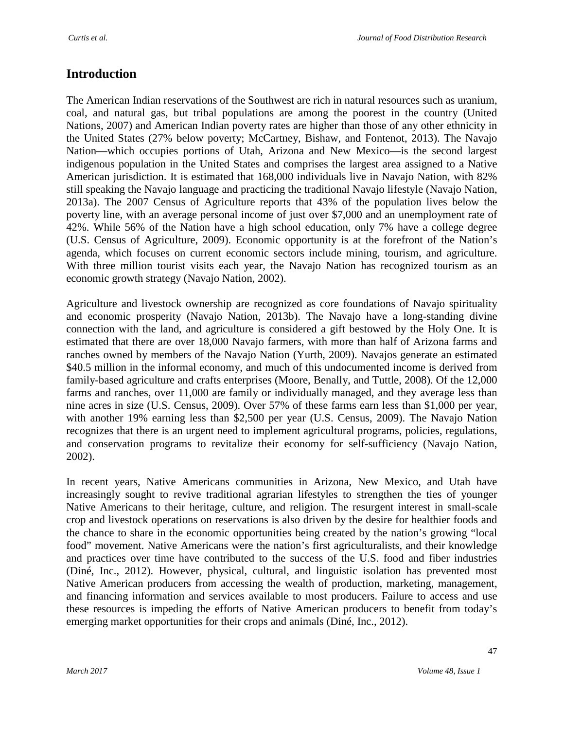#### **Introduction**

The American Indian reservations of the Southwest are rich in natural resources such as uranium, coal, and natural gas, but tribal populations are among the poorest in the country (United Nations, 2007) and American Indian poverty rates are higher than those of any other ethnicity in the United States (27% below poverty; McCartney, Bishaw, and Fontenot, 2013). The Navajo Nation—which occupies portions of Utah, Arizona and New Mexico—is the second largest indigenous population in the United States and comprises the largest area assigned to a Native American jurisdiction. It is estimated that 168,000 individuals live in Navajo Nation, with 82% still speaking the Navajo language and practicing the traditional Navajo lifestyle (Navajo Nation, 2013a). The 2007 Census of Agriculture reports that 43% of the population lives below the poverty line, with an average personal income of just over \$7,000 and an unemployment rate of 42%. While 56% of the Nation have a high school education, only 7% have a college degree (U.S. Census of Agriculture, 2009). Economic opportunity is at the forefront of the Nation's agenda, which focuses on current economic sectors include mining, tourism, and agriculture. With three million tourist visits each year, the Navajo Nation has recognized tourism as an economic growth strategy (Navajo Nation, 2002).

Agriculture and livestock ownership are recognized as core foundations of Navajo spirituality and economic prosperity (Navajo Nation, 2013b). The Navajo have a long-standing divine connection with the land, and agriculture is considered a gift bestowed by the Holy One. It is estimated that there are over 18,000 Navajo farmers, with more than half of Arizona farms and ranches owned by members of the Navajo Nation (Yurth, 2009). Navajos generate an estimated \$40.5 million in the informal economy, and much of this undocumented income is derived from family-based agriculture and crafts enterprises (Moore, Benally, and Tuttle, 2008). Of the 12,000 farms and ranches, over 11,000 are family or individually managed, and they average less than nine acres in size (U.S. Census, 2009). Over 57% of these farms earn less than \$1,000 per year, with another 19% earning less than \$2,500 per year (U.S. Census, 2009). The Navajo Nation recognizes that there is an urgent need to implement agricultural programs, policies, regulations, and conservation programs to revitalize their economy for self-sufficiency (Navajo Nation, 2002).

In recent years, Native Americans communities in Arizona, New Mexico, and Utah have increasingly sought to revive traditional agrarian lifestyles to strengthen the ties of younger Native Americans to their heritage, culture, and religion. The resurgent interest in small-scale crop and livestock operations on reservations is also driven by the desire for healthier foods and the chance to share in the economic opportunities being created by the nation's growing "local food" movement. Native Americans were the nation's first agriculturalists, and their knowledge and practices over time have contributed to the success of the U.S. food and fiber industries (Diné, Inc., 2012). However, physical, cultural, and linguistic isolation has prevented most Native American producers from accessing the wealth of production, marketing, management, and financing information and services available to most producers. Failure to access and use these resources is impeding the efforts of Native American producers to benefit from today's emerging market opportunities for their crops and animals (Diné, Inc., 2012).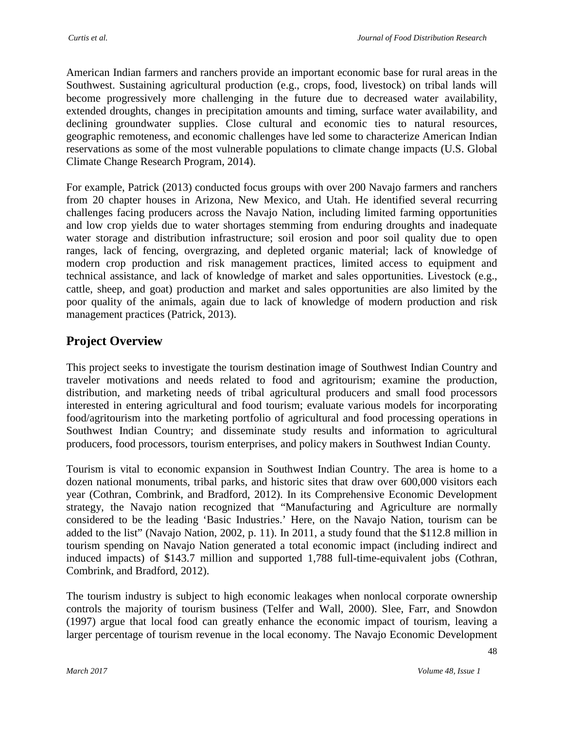American Indian farmers and ranchers provide an important economic base for rural areas in the Southwest. Sustaining agricultural production (e.g., crops, food, livestock) on tribal lands will become progressively more challenging in the future due to decreased water availability, extended droughts, changes in precipitation amounts and timing, surface water availability, and declining groundwater supplies. Close cultural and economic ties to natural resources, geographic remoteness, and economic challenges have led some to characterize American Indian reservations as some of the most vulnerable populations to climate change impacts (U.S. Global Climate Change Research Program, 2014).

For example, Patrick (2013) conducted focus groups with over 200 Navajo farmers and ranchers from 20 chapter houses in Arizona, New Mexico, and Utah. He identified several recurring challenges facing producers across the Navajo Nation, including limited farming opportunities and low crop yields due to water shortages stemming from enduring droughts and inadequate water storage and distribution infrastructure; soil erosion and poor soil quality due to open ranges, lack of fencing, overgrazing, and depleted organic material; lack of knowledge of modern crop production and risk management practices, limited access to equipment and technical assistance, and lack of knowledge of market and sales opportunities. Livestock (e.g., cattle, sheep, and goat) production and market and sales opportunities are also limited by the poor quality of the animals, again due to lack of knowledge of modern production and risk management practices (Patrick, 2013).

### **Project Overview**

This project seeks to investigate the tourism destination image of Southwest Indian Country and traveler motivations and needs related to food and agritourism; examine the production, distribution, and marketing needs of tribal agricultural producers and small food processors interested in entering agricultural and food tourism; evaluate various models for incorporating food/agritourism into the marketing portfolio of agricultural and food processing operations in Southwest Indian Country; and disseminate study results and information to agricultural producers, food processors, tourism enterprises, and policy makers in Southwest Indian County.

Tourism is vital to economic expansion in Southwest Indian Country. The area is home to a dozen national monuments, tribal parks, and historic sites that draw over 600,000 visitors each year (Cothran, Combrink, and Bradford, 2012). In its Comprehensive Economic Development strategy, the Navajo nation recognized that "Manufacturing and Agriculture are normally considered to be the leading 'Basic Industries.' Here, on the Navajo Nation, tourism can be added to the list" (Navajo Nation, 2002, p. 11). In 2011, a study found that the \$112.8 million in tourism spending on Navajo Nation generated a total economic impact (including indirect and induced impacts) of \$143.7 million and supported 1,788 full-time-equivalent jobs (Cothran, Combrink, and Bradford, 2012).

The tourism industry is subject to high economic leakages when nonlocal corporate ownership controls the majority of tourism business (Telfer and Wall, 2000). Slee, Farr, and Snowdon (1997) argue that local food can greatly enhance the economic impact of tourism, leaving a larger percentage of tourism revenue in the local economy. The Navajo Economic Development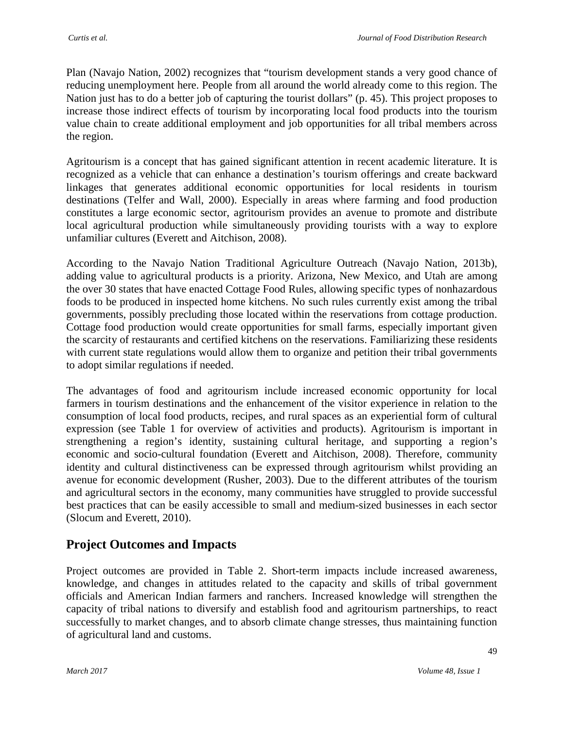Plan (Navajo Nation, 2002) recognizes that "tourism development stands a very good chance of reducing unemployment here. People from all around the world already come to this region. The Nation just has to do a better job of capturing the tourist dollars" (p. 45). This project proposes to increase those indirect effects of tourism by incorporating local food products into the tourism value chain to create additional employment and job opportunities for all tribal members across the region.

Agritourism is a concept that has gained significant attention in recent academic literature. It is recognized as a vehicle that can enhance a destination's tourism offerings and create backward linkages that generates additional economic opportunities for local residents in tourism destinations (Telfer and Wall, 2000). Especially in areas where farming and food production constitutes a large economic sector, agritourism provides an avenue to promote and distribute local agricultural production while simultaneously providing tourists with a way to explore unfamiliar cultures (Everett and Aitchison, 2008).

According to the Navajo Nation Traditional Agriculture Outreach (Navajo Nation, 2013b), adding value to agricultural products is a priority. Arizona, New Mexico, and Utah are among the over 30 states that have enacted Cottage Food Rules, allowing specific types of nonhazardous foods to be produced in inspected home kitchens. No such rules currently exist among the tribal governments, possibly precluding those located within the reservations from cottage production. Cottage food production would create opportunities for small farms, especially important given the scarcity of restaurants and certified kitchens on the reservations. Familiarizing these residents with current state regulations would allow them to organize and petition their tribal governments to adopt similar regulations if needed.

The advantages of food and agritourism include increased economic opportunity for local farmers in tourism destinations and the enhancement of the visitor experience in relation to the consumption of local food products, recipes, and rural spaces as an experiential form of cultural expression (see Table 1 for overview of activities and products). Agritourism is important in strengthening a region's identity, sustaining cultural heritage, and supporting a region's economic and socio-cultural foundation (Everett and Aitchison, 2008). Therefore, community identity and cultural distinctiveness can be expressed through agritourism whilst providing an avenue for economic development (Rusher, 2003). Due to the different attributes of the tourism and agricultural sectors in the economy, many communities have struggled to provide successful best practices that can be easily accessible to small and medium-sized businesses in each sector (Slocum and Everett, 2010).

### **Project Outcomes and Impacts**

Project outcomes are provided in Table 2. Short-term impacts include increased awareness, knowledge, and changes in attitudes related to the capacity and skills of tribal government officials and American Indian farmers and ranchers. Increased knowledge will strengthen the capacity of tribal nations to diversify and establish food and agritourism partnerships, to react successfully to market changes, and to absorb climate change stresses, thus maintaining function of agricultural land and customs.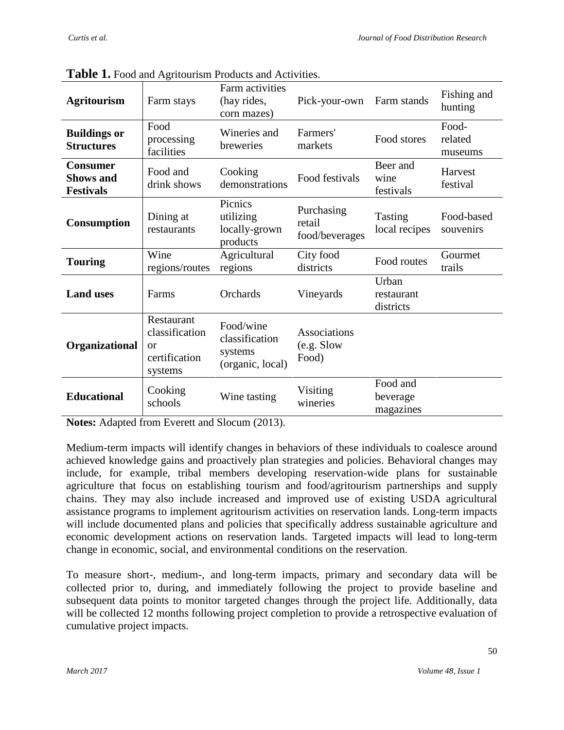| <b>Agritourism</b>                                      | Farm stays                                                     | Farm activities<br>(hay rides,<br>corn mazes)              | Pick-your-own                               | Farm stands                       | Fishing and<br>hunting      |
|---------------------------------------------------------|----------------------------------------------------------------|------------------------------------------------------------|---------------------------------------------|-----------------------------------|-----------------------------|
| <b>Buildings or</b><br><b>Structures</b>                | Food<br>processing<br>facilities                               | Wineries and<br>breweries                                  | Farmers'<br>markets                         | Food stores                       | Food-<br>related<br>museums |
| <b>Consumer</b><br><b>Shows and</b><br><b>Festivals</b> | Food and<br>drink shows                                        | Cooking<br>demonstrations                                  | Food festivals                              | Beer and<br>wine<br>festivals     | Harvest<br>festival         |
| Consumption                                             | Dining at<br>restaurants                                       | Picnics<br>utilizing<br>locally-grown<br>products          | Purchasing<br>retail<br>food/beverages      | Tasting<br>local recipes          | Food-based<br>souvenirs     |
| <b>Touring</b>                                          | Wine<br>regions/routes                                         | Agricultural<br>regions                                    | City food<br>districts                      | Food routes                       | Gourmet<br>trails           |
| <b>Land uses</b>                                        | Farms                                                          | Orchards                                                   | Vineyards                                   | Urban<br>restaurant<br>districts  |                             |
| Organizational                                          | Restaurant<br>classification<br>or<br>certification<br>systems | Food/wine<br>classification<br>systems<br>(organic, local) | <b>Associations</b><br>(e.g. Slow)<br>Food) |                                   |                             |
| <b>Educational</b>                                      | Cooking<br>schools                                             | Wine tasting                                               | Visiting<br>wineries                        | Food and<br>beverage<br>magazines |                             |

**Table 1.** Food and Agritourism Products and Activities.

**Notes:** Adapted from Everett and Slocum (2013).

Medium-term impacts will identify changes in behaviors of these individuals to coalesce around achieved knowledge gains and proactively plan strategies and policies. Behavioral changes may include, for example, tribal members developing reservation-wide plans for sustainable agriculture that focus on establishing tourism and food/agritourism partnerships and supply chains. They may also include increased and improved use of existing USDA agricultural assistance programs to implement agritourism activities on reservation lands. Long-term impacts will include documented plans and policies that specifically address sustainable agriculture and economic development actions on reservation lands. Targeted impacts will lead to long-term change in economic, social, and environmental conditions on the reservation.

To measure short-, medium-, and long-term impacts, primary and secondary data will be collected prior to, during, and immediately following the project to provide baseline and subsequent data points to monitor targeted changes through the project life. Additionally, data will be collected 12 months following project completion to provide a retrospective evaluation of cumulative project impacts.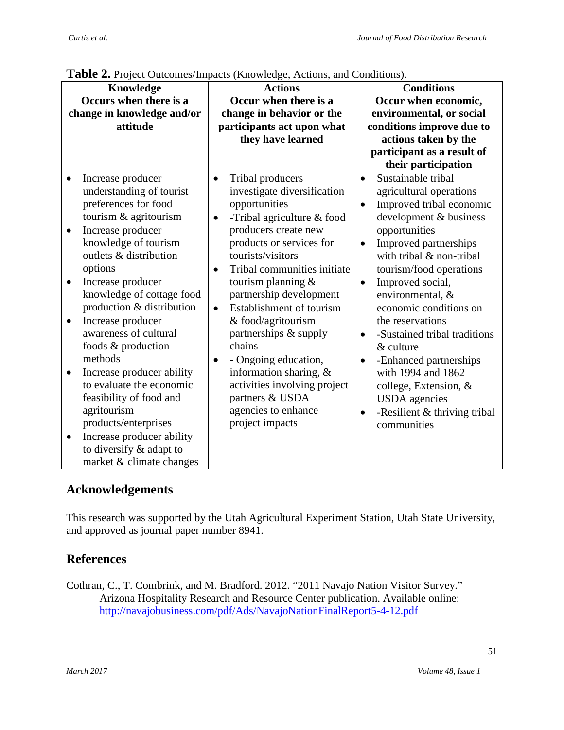| Knowledge                  |                           | <b>Actions</b>             |                              | <b>Conditions</b>         |                              |
|----------------------------|---------------------------|----------------------------|------------------------------|---------------------------|------------------------------|
| Occurs when there is a     |                           | Occur when there is a      |                              | Occur when economic,      |                              |
| change in knowledge and/or |                           | change in behavior or the  |                              | environmental, or social  |                              |
|                            | attitude                  | participants act upon what |                              | conditions improve due to |                              |
|                            |                           | they have learned          |                              | actions taken by the      |                              |
|                            |                           |                            |                              |                           | participant as a result of   |
|                            |                           |                            |                              |                           | their participation          |
|                            | Increase producer         | ٠                          | Tribal producers             | $\bullet$                 | Sustainable tribal           |
|                            | understanding of tourist  |                            | investigate diversification  |                           | agricultural operations      |
|                            | preferences for food      |                            | opportunities                | $\bullet$                 | Improved tribal economic     |
|                            | tourism & agritourism     | $\bullet$                  | -Tribal agriculture & food   |                           | development & business       |
| $\bullet$                  | Increase producer         |                            | producers create new         |                           | opportunities                |
|                            | knowledge of tourism      |                            | products or services for     | $\bullet$                 | Improved partnerships        |
|                            | outlets & distribution    |                            | tourists/visitors            |                           | with tribal & non-tribal     |
|                            | options                   | $\bullet$                  | Tribal communities initiate  |                           | tourism/food operations      |
| ٠                          | Increase producer         |                            | tourism planning &           | $\bullet$                 | Improved social,             |
|                            | knowledge of cottage food |                            | partnership development      |                           | environmental, &             |
|                            | production & distribution | $\bullet$                  | Establishment of tourism     |                           | economic conditions on       |
| $\bullet$                  | Increase producer         |                            | & food/agritourism           |                           | the reservations             |
|                            | awareness of cultural     |                            | partnerships & supply        | $\bullet$                 | -Sustained tribal traditions |
|                            | foods & production        |                            | chains                       |                           | & culture                    |
|                            | methods                   | $\bullet$                  | - Ongoing education,         |                           | -Enhanced partnerships       |
| $\bullet$                  | Increase producer ability |                            | information sharing, &       |                           | with 1994 and 1862           |
|                            | to evaluate the economic  |                            | activities involving project |                           | college, Extension, &        |
|                            | feasibility of food and   |                            | partners & USDA              |                           | <b>USDA</b> agencies         |
|                            | agritourism               |                            | agencies to enhance          |                           | -Resilient & thriving tribal |
|                            | products/enterprises      |                            | project impacts              |                           | communities                  |
| $\bullet$                  | Increase producer ability |                            |                              |                           |                              |
|                            | to diversify & adapt to   |                            |                              |                           |                              |
|                            | market & climate changes  |                            |                              |                           |                              |

**Table 2.** Project Outcomes/Impacts (Knowledge, Actions, and Conditions).

### **Acknowledgements**

This research was supported by the Utah Agricultural Experiment Station, Utah State University, and approved as journal paper number 8941.

# **References**

Cothran, C., T. Combrink, and M. Bradford. 2012. "2011 Navajo Nation Visitor Survey." Arizona Hospitality Research and Resource Center publication. Available online: <http://navajobusiness.com/pdf/Ads/NavajoNationFinalReport5-4-12.pdf>

51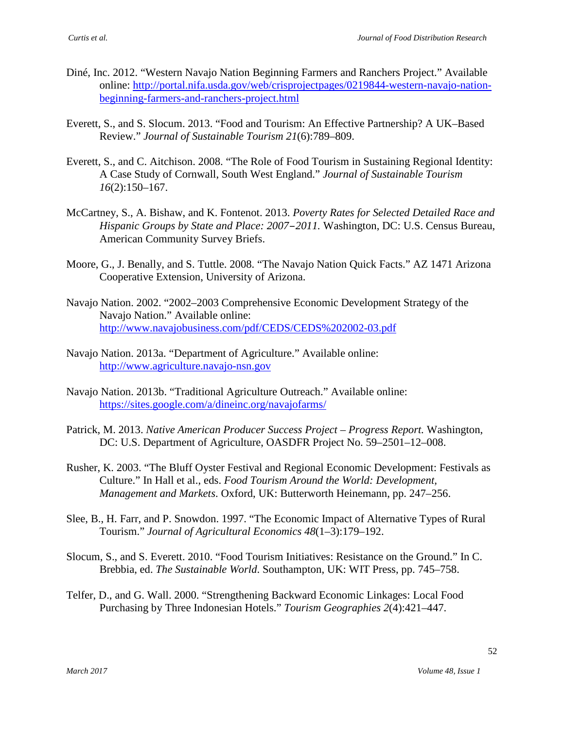- Diné, Inc. 2012. "Western Navajo Nation Beginning Farmers and Ranchers Project." Available online: [http://portal.nifa.usda.gov/web/crisprojectpages/0219844-western-navajo-nation](http://portal.nifa.usda.gov/web/crisprojectpages/0219844-western-navajo-nation-beginning-farmers-and-ranchers-project.html)[beginning-farmers-and-ranchers-project.html](http://portal.nifa.usda.gov/web/crisprojectpages/0219844-western-navajo-nation-beginning-farmers-and-ranchers-project.html)
- Everett, S., and S. Slocum. 2013. "Food and Tourism: An Effective Partnership? A UK–Based Review." *Journal of Sustainable Tourism 21*(6):789–809.
- Everett, S., and C. Aitchison. 2008. "The Role of Food Tourism in Sustaining Regional Identity: A Case Study of Cornwall, South West England." *Journal of Sustainable Tourism 16*(2):150–167.
- McCartney, S., A. Bishaw, and K. Fontenot. 2013. *Poverty Rates for Selected Detailed Race and Hispanic Groups by State and Place: 2007–2011.* Washington, DC: U.S. Census Bureau, American Community Survey Briefs.
- Moore, G., J. Benally, and S. Tuttle. 2008. "The Navajo Nation Quick Facts." AZ 1471 Arizona Cooperative Extension, University of Arizona.
- Navajo Nation. 2002. "2002–2003 Comprehensive Economic Development Strategy of the Navajo Nation." Available online: <http://www.navajobusiness.com/pdf/CEDS/CEDS%202002-03.pdf>
- Navajo Nation. 2013a. "Department of Agriculture." Available online: [http://www.agriculture.navajo-nsn.gov](http://www.agriculture.navajo-nsn.gov/)
- Navajo Nation. 2013b. "Traditional Agriculture Outreach." Available online: <https://sites.google.com/a/dineinc.org/navajofarms/>
- Patrick, M. 2013. *Native American Producer Success Project – Progress Report.* Washington, DC: U.S. Department of Agriculture, OASDFR Project No. 59–2501–12–008.
- Rusher, K. 2003. "The Bluff Oyster Festival and Regional Economic Development: Festivals as Culture." In Hall et al., eds. *Food Tourism Around the World: Development, Management and Markets*. Oxford, UK: Butterworth Heinemann, pp. 247–256.
- Slee, B., H. Farr, and P. Snowdon. 1997. "The Economic Impact of Alternative Types of Rural Tourism." *Journal of Agricultural Economics 48*(1–3):179–192.
- Slocum, S., and S. Everett. 2010. "Food Tourism Initiatives: Resistance on the Ground." In C. Brebbia, ed. *The Sustainable World*. Southampton, UK: WIT Press, pp. 745–758.
- Telfer, D., and G. Wall. 2000. "Strengthening Backward Economic Linkages: Local Food Purchasing by Three Indonesian Hotels." *Tourism Geographies 2*(4):421–447.